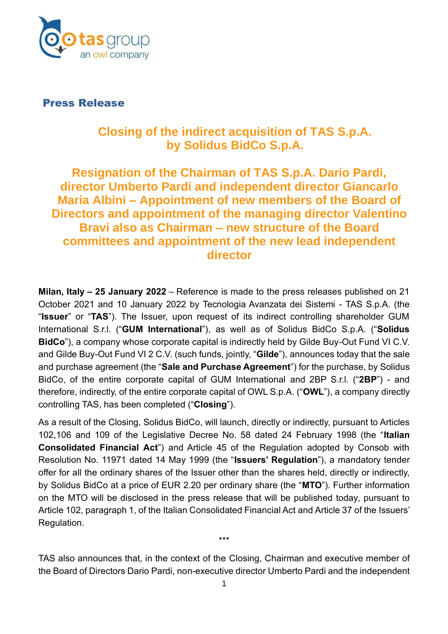

Press Release

## **Closing of the indirect acquisition of TAS S.p.A. by Solidus BidCo S.p.A.**

## **Resignation of the Chairman of TAS S.p.A. Dario Pardi, director Umberto Pardi and independent director Giancarlo Maria Albini – Appointment of new members of the Board of Directors and appointment of the managing director Valentino Bravi also as Chairman – new structure of the Board committees and appointment of the new lead independent director**

**Milan, Italy – 25 January 2022** – Reference is made to the press releases published on 21 October 2021 and 10 January 2022 by Tecnologia Avanzata dei Sistemi - TAS S.p.A. (the "**Issuer**" or "**TAS**"). The Issuer, upon request of its indirect controlling shareholder GUM International S.r.l. ("**GUM International**"), as well as of Solidus BidCo S.p.A. ("**Solidus BidCo**"), a company whose corporate capital is indirectly held by Gilde Buy-Out Fund VI C.V. and Gilde Buy-Out Fund VI 2 C.V. (such funds, jointly, "**Gilde**"), announces today that the sale and purchase agreement (the "**Sale and Purchase Agreement**") for the purchase, by Solidus BidCo, of the entire corporate capital of GUM International and 2BP S.r.l. ("**2BP**") - and therefore, indirectly, of the entire corporate capital of OWL S.p.A. ("**OWL**"), a company directly controlling TAS, has been completed ("**Closing**").

As a result of the Closing, Solidus BidCo, will launch, directly or indirectly, pursuant to Articles 102,106 and 109 of the Legislative Decree No. 58 dated 24 February 1998 (the "**Italian Consolidated Financial Act**") and Article 45 of the Regulation adopted by Consob with Resolution No. 11971 dated 14 May 1999 (the "**Issuers' Regulation**"), a mandatory tender offer for all the ordinary shares of the Issuer other than the shares held, directly or indirectly, by Solidus BidCo at a price of EUR 2.20 per ordinary share (the "**MTO**"). Further information on the MTO will be disclosed in the press release that will be published today, pursuant to Article 102, paragraph 1, of the Italian Consolidated Financial Act and Article 37 of the Issuers' Regulation.

TAS also announces that, in the context of the Closing, Chairman and executive member of the Board of Directors Dario Pardi, non-executive director Umberto Pardi and the independent

\*\*\*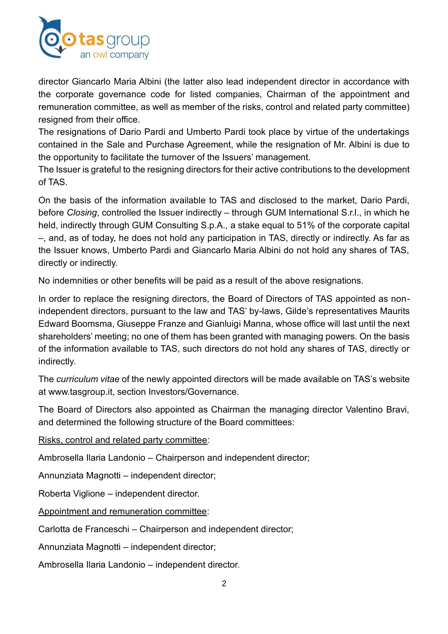

director Giancarlo Maria Albini (the latter also lead independent director in accordance with the corporate governance code for listed companies, Chairman of the appointment and remuneration committee, as well as member of the risks, control and related party committee) resigned from their office.

The resignations of Dario Pardi and Umberto Pardi took place by virtue of the undertakings contained in the Sale and Purchase Agreement, while the resignation of Mr. Albini is due to the opportunity to facilitate the turnover of the Issuers' management.

The Issuer is grateful to the resigning directors for their active contributions to the development of TAS.

On the basis of the information available to TAS and disclosed to the market, Dario Pardi, before *Closing*, controlled the Issuer indirectly – through GUM International S.r.l., in which he held, indirectly through GUM Consulting S.p.A., a stake equal to 51% of the corporate capital –, and, as of today, he does not hold any participation in TAS, directly or indirectly. As far as the Issuer knows, Umberto Pardi and Giancarlo Maria Albini do not hold any shares of TAS, directly or indirectly.

No indemnities or other benefits will be paid as a result of the above resignations.

In order to replace the resigning directors, the Board of Directors of TAS appointed as nonindependent directors, pursuant to the law and TAS' by-laws, Gilde's representatives Maurits Edward Boomsma, Giuseppe Franze and Gianluigi Manna, whose office will last until the next shareholders' meeting; no one of them has been granted with managing powers. On the basis of the information available to TAS, such directors do not hold any shares of TAS, directly or indirectly.

The *curriculum vitae* of the newly appointed directors will be made available on TAS's website at www.tasgroup.it, section Investors/Governance.

The Board of Directors also appointed as Chairman the managing director Valentino Bravi, and determined the following structure of the Board committees:

Risks, control and related party committee:

Ambrosella Ilaria Landonio – Chairperson and independent director;

Annunziata Magnotti – independent director;

Roberta Viglione – independent director.

Appointment and remuneration committee:

Carlotta de Franceschi – Chairperson and independent director;

Annunziata Magnotti – independent director;

Ambrosella Ilaria Landonio – independent director.